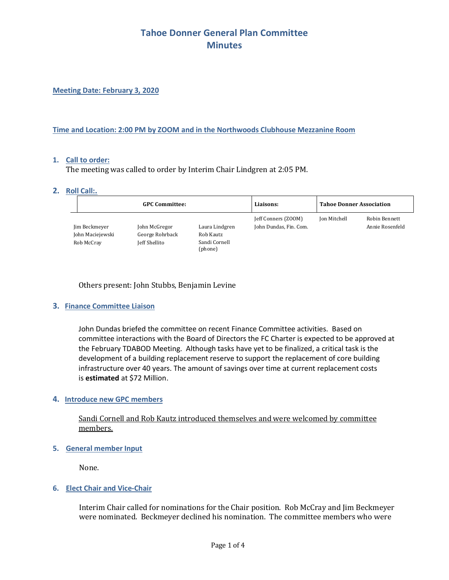**Meeting Date: February 3, 2020**

#### **Time and Location: 2:00 PM by ZOOM and in the Northwoods Clubhouse Mezzanine Room**

### **1. Call to order:**

The meeting was called to order by Interim Chair Lindgren at 2:05 PM.

#### **2. Roll Call:.**

| <b>GPC Committee:</b>                           |                                                   | Liaisons:                                               | <b>Tahoe Donner Association</b>               |              |                                  |
|-------------------------------------------------|---------------------------------------------------|---------------------------------------------------------|-----------------------------------------------|--------------|----------------------------------|
| Jim Beckmeyer<br>John Maciejewski<br>Rob McCray | John McGregor<br>George Rohrback<br>Jeff Shellito | Laura Lindgren<br>Rob Kautz<br>Sandi Cornell<br>(phone) | [eff Conners (ZOOM)<br>John Dundas, Fin. Com. | Jon Mitchell | Robin Bennett<br>Annie Rosenfeld |

### Others present: John Stubbs, Benjamin Levine

### **3. Finance Committee Liaison**

John Dundas briefed the committee on recent Finance Committee activities. Based on committee interactions with the Board of Directors the FC Charter is expected to be approved at the February TDABOD Meeting. Although tasks have yet to be finalized, a critical task is the development of a building replacement reserve to support the replacement of core building infrastructure over 40 years. The amount of savings over time at current replacement costs is **estimated** at \$72 Million.

#### **4. Introduce new GPC members**

Sandi Cornell and Rob Kautz introduced themselves and were welcomed by committee members.

#### **5. General member Input**

None.

### **6. Elect Chair and Vice-Chair**

Interim Chair called for nominations for the Chair position. Rob McCray and Jim Beckmeyer were nominated. Beckmeyer declined his nomination. The committee members who were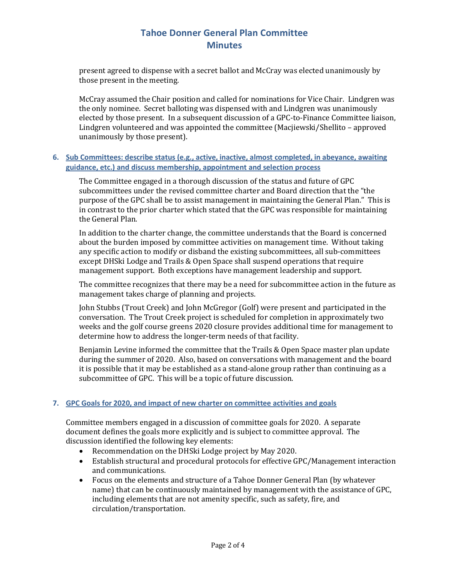present agreed to dispense with a secret ballot and McCray was elected unanimously by those present in the meeting. 

McCray assumed the Chair position and called for nominations for Vice Chair. Lindgren was the only nominee. Secret balloting was dispensed with and Lindgren was unanimously elected by those present. In a subsequent discussion of a GPC-to-Finance Committee liaison, Lindgren volunteered and was appointed the committee (Macjiewski/Shellito – approved unanimously by those present).

## **6. Sub Committees: describe status (e.g., active, inactive, almost completed, in abeyance, awaiting guidance, etc.) and discuss membership, appointment and selection process**

The Committee engaged in a thorough discussion of the status and future of GPC subcommittees under the revised committee charter and Board direction that the "the purpose of the GPC shall be to assist management in maintaining the General Plan." This is in contrast to the prior charter which stated that the GPC was responsible for maintaining the General Plan.

In addition to the charter change, the committee understands that the Board is concerned about the burden imposed by committee activities on management time. Without taking any specific action to modify or disband the existing subcommittees, all sub-committees except DHSki Lodge and Trails & Open Space shall suspend operations that require management support. Both exceptions have management leadership and support.

The committee recognizes that there may be a need for subcommittee action in the future as management takes charge of planning and projects.

John Stubbs (Trout Creek) and John McGregor (Golf) were present and participated in the conversation. The Trout Creek project is scheduled for completion in approximately two weeks and the golf course greens 2020 closure provides additional time for management to determine how to address the longer-term needs of that facility.

Benjamin Levine informed the committee that the Trails & Open Space master plan update during the summer of 2020. Also, based on conversations with management and the board it is possible that it may be established as a stand-alone group rather than continuing as a subcommittee of GPC. This will be a topic of future discussion.

## **7. GPC Goals for 2020, and impact of new charter on committee activities and goals**

Committee members engaged in a discussion of committee goals for 2020. A separate document defines the goals more explicitly and is subject to committee approval. The discussion identified the following key elements:

- Recommendation on the DHSki Lodge project by May 2020.
- Establish structural and procedural protocols for effective GPC/Management interaction and communications.
- Focus on the elements and structure of a Tahoe Donner General Plan (by whatever name) that can be continuously maintained by management with the assistance of GPC, including elements that are not amenity specific, such as safety, fire, and circulation/transportation.